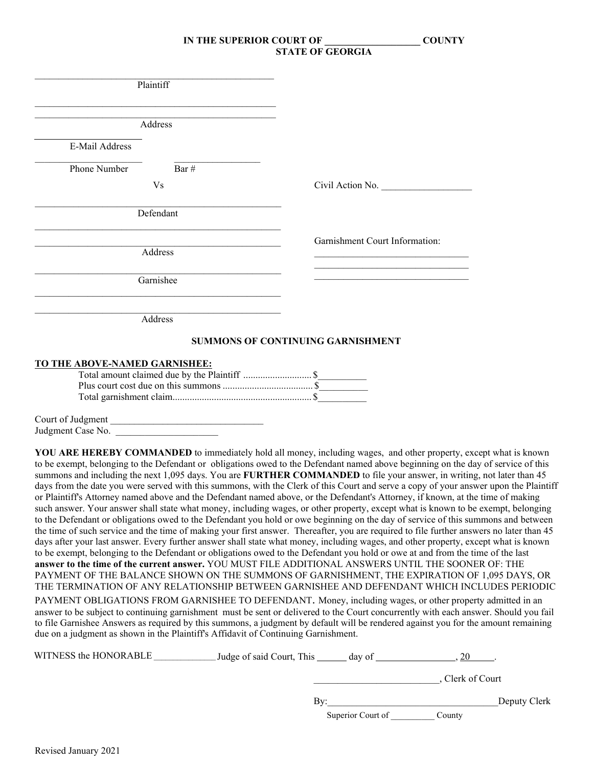|                               | Plaintiff<br><u> 1989 - Johann John Stone, markin sanat masjid a shekara ta 1989 - An tsarat masjid a shekara ta 1989 - An tsa</u> |                                          |
|-------------------------------|------------------------------------------------------------------------------------------------------------------------------------|------------------------------------------|
|                               | Address                                                                                                                            |                                          |
| E-Mail Address                |                                                                                                                                    |                                          |
| Phone Number                  | Bar #                                                                                                                              |                                          |
|                               | V <sub>s</sub>                                                                                                                     | Civil Action No.                         |
|                               | Defendant                                                                                                                          |                                          |
|                               |                                                                                                                                    | Garnishment Court Information:           |
|                               | Address                                                                                                                            |                                          |
|                               | Garnishee                                                                                                                          |                                          |
|                               | Address                                                                                                                            |                                          |
|                               |                                                                                                                                    | <b>SUMMONS OF CONTINUING GARNISHMENT</b> |
| TO THE ABOVE-NAMED GARNISHEE: |                                                                                                                                    |                                          |
|                               |                                                                                                                                    |                                          |

Court of Judgment Judgment Case No.

**YOU ARE HEREBY COMMANDED** to immediately hold all money, including wages, and other property, except what is known to be exempt, belonging to the Defendant or obligations owed to the Defendant named above beginning on the day of service of this summons and including the next 1,095 days. You are **FURTHER COMMANDED** to file your answer, in writing, not later than 45 days from the date you were served with this summons, with the Clerk of this Court and serve a copy of your answer upon the Plaintiff or Plaintiff's Attorney named above and the Defendant named above, or the Defendant's Attorney, if known, at the time of making such answer. Your answer shall state what money, including wages, or other property, except what is known to be exempt, belonging to the Defendant or obligations owed to the Defendant you hold or owe beginning on the day of service of this summons and between the time of such service and the time of making your first answer. Thereafter, you are required to file further answers no later than 45 days after your last answer. Every further answer shall state what money, including wages, and other property, except what is known to be exempt, belonging to the Defendant or obligations owed to the Defendant you hold or owe at and from the time of the last **answer to the time of the current answer.** YOU MUST FILE ADDITIONAL ANSWERS UNTIL THE SOONER OF: THE PAYMENT OF THE BALANCE SHOWN ON THE SUMMONS OF GARNISHMENT, THE EXPIRATION OF 1,095 DAYS, OR THE TERMINATION OF ANY RELATIONSHIP BETWEEN GARNISHEE AND DEFENDANT WHICH INCLUDES PERIODIC PAYMENT OBLIGATIONS FROM GARNISHEE TO DEFENDANT. Money, including wages, or other property admitted in an answer to be subject to continuing garnishment must be sent or delivered to the Court concurrently with each answer. Should you fail to file Garnishee Answers as required by this summons, a judgment by default will be rendered against you for the amount remaining due on a judgment as shown in the Plaintiff's Affidavit of Continuing Garnishment.

| WITNESS the HONORABLE | Judge of said Court, This<br>day of |                |
|-----------------------|-------------------------------------|----------------|
|                       |                                     | Clerk of Court |
|                       | Bv:                                 | Deputy Clerk   |
|                       | Superior Court of                   | Countv         |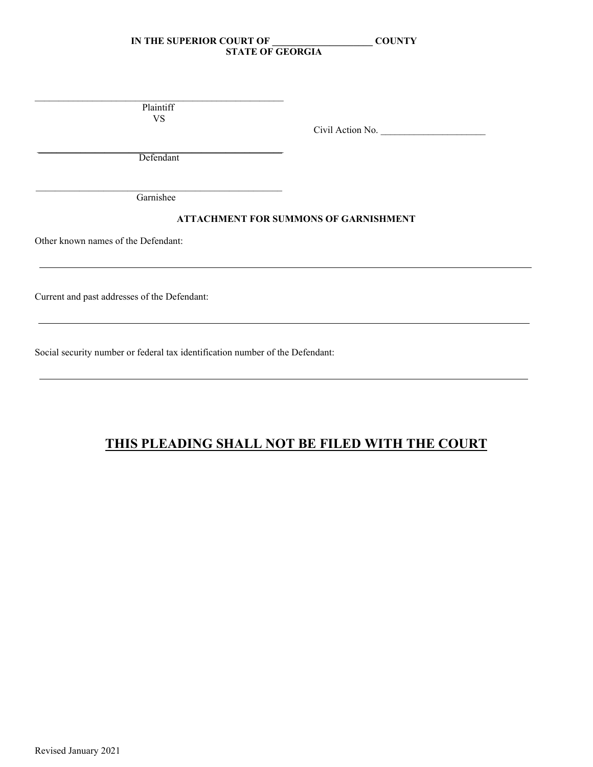\_\_\_\_\_\_\_\_\_\_\_\_\_\_\_\_\_\_\_\_\_\_\_\_\_\_\_\_\_\_\_\_\_\_\_\_\_\_\_\_\_\_\_\_\_\_\_\_\_\_\_\_ Plaintiff VS

Civil Action No.

\_\_\_\_\_\_\_\_\_\_\_\_\_\_\_\_\_\_\_\_\_\_\_\_\_\_\_\_\_\_\_\_\_\_\_\_\_\_\_\_\_\_\_\_\_\_\_\_\_\_\_ Defendant

\_\_\_\_\_\_\_\_\_\_\_\_\_\_\_\_\_\_\_\_\_\_\_\_\_\_\_\_\_\_\_\_\_\_\_\_\_\_\_\_\_\_\_\_\_\_\_\_\_\_\_ Garnishee

## **ATTACHMENT FOR SUMMONS OF GARNISHMENT**

Other known names of the Defendant:

Current and past addresses of the Defendant:

Social security number or federal tax identification number of the Defendant:

# **THIS PLEADING SHALL NOT BE FILED WITH THE COURT**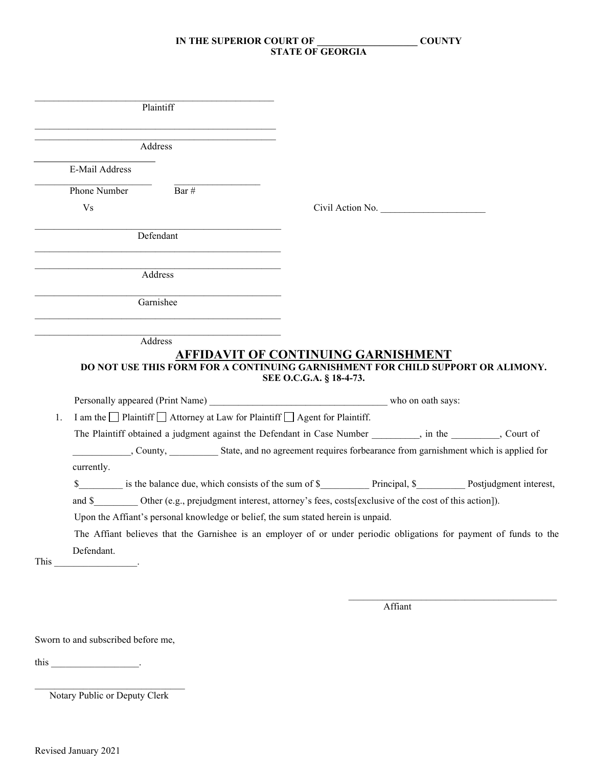| Plaintiff |                                    |                                                                                                                     |                         |                                     |                                                                                                                     |
|-----------|------------------------------------|---------------------------------------------------------------------------------------------------------------------|-------------------------|-------------------------------------|---------------------------------------------------------------------------------------------------------------------|
| Address   |                                    |                                                                                                                     |                         |                                     |                                                                                                                     |
|           | E-Mail Address                     |                                                                                                                     |                         |                                     |                                                                                                                     |
|           | Phone Number                       | Bar #                                                                                                               |                         |                                     |                                                                                                                     |
|           | V <sub>S</sub>                     |                                                                                                                     |                         | Civil Action No.                    |                                                                                                                     |
|           |                                    | Defendant                                                                                                           |                         |                                     |                                                                                                                     |
|           |                                    | Address                                                                                                             |                         |                                     |                                                                                                                     |
|           | Garnishee                          |                                                                                                                     |                         |                                     |                                                                                                                     |
|           |                                    | Address                                                                                                             |                         |                                     |                                                                                                                     |
|           |                                    |                                                                                                                     |                         | AFFIDAVIT OF CONTINUING GARNISHMENT |                                                                                                                     |
|           |                                    | DO NOT USE THIS FORM FOR A CONTINUING GARNISHMENT FOR CHILD SUPPORT OR ALIMONY.                                     | SEE O.C.G.A. § 18-4-73. |                                     |                                                                                                                     |
|           |                                    |                                                                                                                     |                         |                                     |                                                                                                                     |
| 1.        |                                    | I am the $\Box$ Plaintiff $\Box$ Attorney at Law for Plaintiff $\Box$ Agent for Plaintiff.                          |                         |                                     |                                                                                                                     |
|           |                                    | The Plaintiff obtained a judgment against the Defendant in Case Number ________, in the _______, Court of           |                         |                                     |                                                                                                                     |
|           |                                    |                                                                                                                     |                         |                                     | County, State, and no agreement requires forbearance from garnishment which is applied for                          |
|           | currently.                         |                                                                                                                     |                         |                                     |                                                                                                                     |
|           |                                    |                                                                                                                     |                         |                                     | \$ is the balance due, which consists of the sum of \$ Principal, \$ Postjudgment interest,                         |
|           |                                    | and \$___________ Other (e.g., prejudgment interest, attorney's fees, costs[exclusive of the cost of this action]). |                         |                                     |                                                                                                                     |
|           |                                    | Upon the Affiant's personal knowledge or belief, the sum stated herein is unpaid.                                   |                         |                                     |                                                                                                                     |
|           |                                    |                                                                                                                     |                         |                                     | The Affiant believes that the Garnishee is an employer of or under periodic obligations for payment of funds to the |
|           | Defendant.                         |                                                                                                                     |                         |                                     |                                                                                                                     |
| This      |                                    |                                                                                                                     |                         |                                     |                                                                                                                     |
|           |                                    |                                                                                                                     |                         |                                     |                                                                                                                     |
|           |                                    |                                                                                                                     |                         | Affiant                             |                                                                                                                     |
|           | Sworn to and subscribed before me, |                                                                                                                     |                         |                                     |                                                                                                                     |
| this      |                                    |                                                                                                                     |                         |                                     |                                                                                                                     |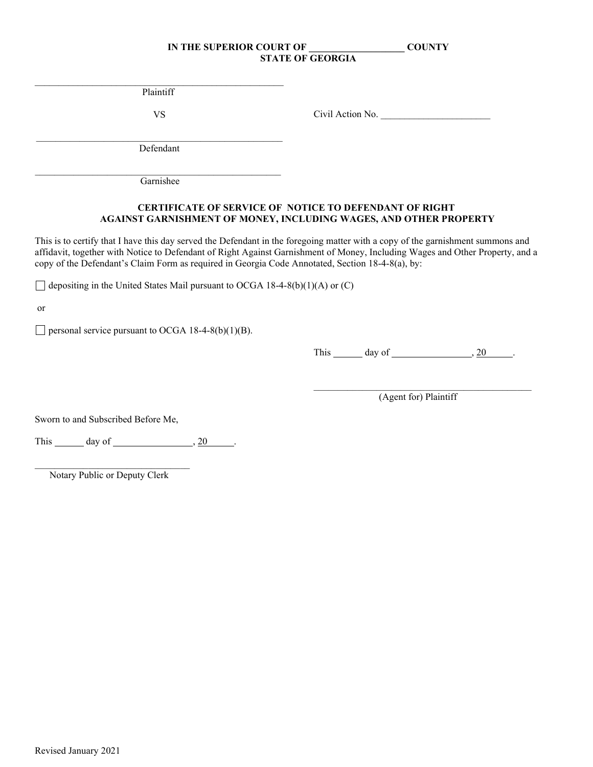\_\_\_\_\_\_\_\_\_\_\_\_\_\_\_\_\_\_\_\_\_\_\_\_\_\_\_\_\_\_\_\_\_\_\_\_\_\_\_\_\_\_\_\_\_\_\_\_\_\_\_\_ Plaintiff

VS Civil Action No.

\_\_\_\_\_\_\_\_\_\_\_\_\_\_\_\_\_\_\_\_\_\_\_\_\_\_\_\_\_\_\_\_\_\_\_\_\_\_\_\_\_\_\_\_\_\_\_\_\_\_\_ Defendant

 $\mathcal{L}_\text{max}$  and  $\mathcal{L}_\text{max}$  and  $\mathcal{L}_\text{max}$  and  $\mathcal{L}_\text{max}$  and  $\mathcal{L}_\text{max}$ Garnishee

## **CERTIFICATE OF SERVICE OF NOTICE TO DEFENDANT OF RIGHT AGAINST GARNISHMENT OF MONEY, INCLUDING WAGES, AND OTHER PROPERTY**

This is to certify that I have this day served the Defendant in the foregoing matter with a copy of the garnishment summons and affidavit, together with Notice to Defendant of Right Against Garnishment of Money, Including Wages and Other Property, and a copy of the Defendant's Claim Form as required in Georgia Code Annotated, Section 18-4-8(a), by:

 $\Box$  depositing in the United States Mail pursuant to OCGA 18-4-8(b)(1)(A) or (C)

or

 $\Box$  personal service pursuant to OCGA 18-4-8(b)(1)(B).

This  $\_\_$  day of  $\_\_\_\_$ , 20  $\_\_$ 

\_\_\_\_\_\_\_\_\_\_\_\_\_\_\_\_\_\_\_\_\_\_\_\_\_\_\_\_\_\_\_\_\_\_\_\_\_\_\_\_\_\_\_\_\_ (Agent for) Plaintiff

Sworn to and Subscribed Before Me,

This  $\_\_\_\_$  day of  $\_\_\_\_\_\_\_$ , 20  $\_\_\_\_\_\_\_\_\_\_\_\_\_\_$ 

 $\mathcal{L}_\text{max}$  , which is a set of the set of the set of the set of the set of the set of the set of the set of the set of the set of the set of the set of the set of the set of the set of the set of the set of the set of Notary Public or Deputy Clerk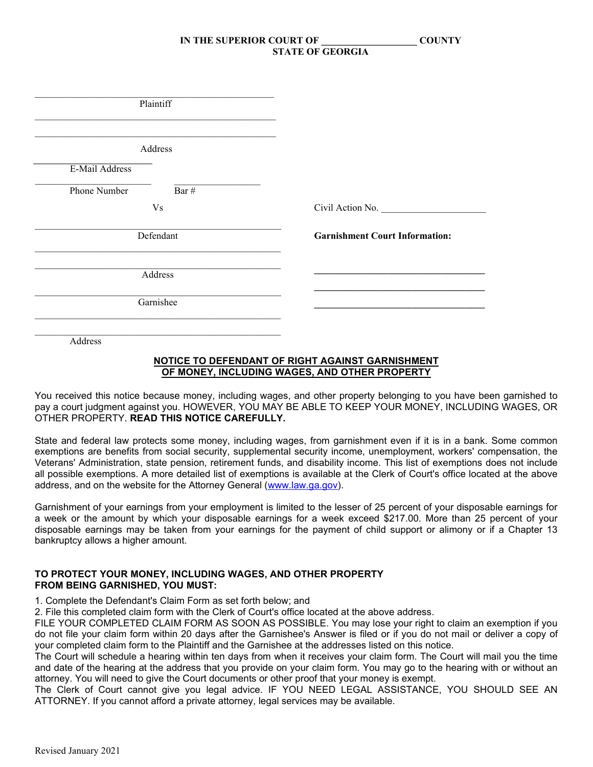| Plaintiff               |                                       |
|-------------------------|---------------------------------------|
| Address                 |                                       |
| E-Mail Address          |                                       |
| Phone Number<br>Bar $#$ |                                       |
| V <sub>S</sub>          | Civil Action No.                      |
| Defendant               | <b>Garnishment Court Information:</b> |
| Address                 |                                       |
| Garnishee               |                                       |
|                         |                                       |

#### **NOTICE TO DEFENDANT OF RIGHT AGAINST GARNISHMENT OF MONEY, INCLUDING WAGES, AND OTHER PROPERTY**

You received this notice because money, including wages, and other property belonging to you have been garnished to pay a court judgment against you. HOWEVER, YOU MAY BE ABLE TO KEEP YOUR MONEY, INCLUDING WAGES, OR OTHER PROPERTY. **READ THIS NOTICE CAREFULLY.**

State and federal law protects some money, including wages, from garnishment even if it is in a bank. Some common exemptions are benefits from social security, supplemental security income, unemployment, workers' compensation, the Veterans' Administration, state pension, retirement funds, and disability income. This list of exemptions does not include all possible exemptions. A more detailed list of exemptions is available at the Clerk of Court's office located at the above address, and on the website for the Attorney General [\(www.law.ga.gov\)](http://www.law.ga.gov/).

Garnishment of your earnings from your employment is limited to the lesser of 25 percent of your disposable earnings for a week or the amount by which your disposable earnings for a week exceed \$217.00. More than 25 percent of your disposable earnings may be taken from your earnings for the payment of child support or alimony or if a Chapter 13 bankruptcy allows a higher amount.

#### **TO PROTECT YOUR MONEY, INCLUDING WAGES, AND OTHER PROPERTY FROM BEING GARNISHED, YOU MUST:**

1. Complete the Defendant's Claim Form as set forth below; and

2. File this completed claim form with the Clerk of Court's office located at the above address.

FILE YOUR COMPLETED CLAIM FORM AS SOON AS POSSIBLE. You may lose your right to claim an exemption if you do not file your claim form within 20 days after the Garnishee's Answer is filed or if you do not mail or deliver a copy of your completed claim form to the Plaintiff and the Garnishee at the addresses listed on this notice.

The Court will schedule a hearing within ten days from when it receives your claim form. The Court will mail you the time and date of the hearing at the address that you provide on your claim form. You may go to the hearing with or without an attorney. You will need to give the Court documents or other proof that your money is exempt.

The Clerk of Court cannot give you legal advice. IF YOU NEED LEGAL ASSISTANCE, YOU SHOULD SEE AN ATTORNEY. If you cannot afford a private attorney, legal services may be available.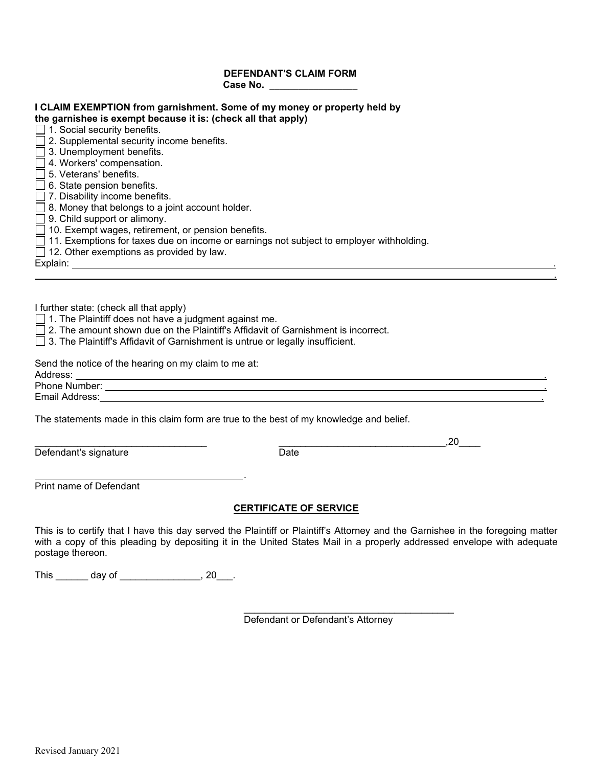#### **DEFENDANT'S CLAIM FORM Case No. \_\_\_\_\_\_\_\_\_\_\_\_\_\_\_\_\_\_**

| I CLAIM EXEMPTION from garnishment. Some of my money or property held by<br>the garnishee is exempt because it is: (check all that apply) |
|-------------------------------------------------------------------------------------------------------------------------------------------|
| $\Box$ 1. Social security benefits.                                                                                                       |
| $\Box$ 2. Supplemental security income benefits.                                                                                          |
| □ 3. Unemployment benefits.                                                                                                               |
| 4. Workers' compensation.                                                                                                                 |
| $\Box$ 5. Veterans' benefits.                                                                                                             |
| $\Box$ 6. State pension benefits.                                                                                                         |
| 7. Disability income benefits.                                                                                                            |
| $\Box$ 8. Money that belongs to a joint account holder.                                                                                   |
| $\Box$ 9. Child support or alimony.                                                                                                       |
| $\Box$ 10. Exempt wages, retirement, or pension benefits.                                                                                 |
| $\Box$ 11. Exemptions for taxes due on income or earnings not subject to employer withholding.                                            |
| $\Box$ 12. Other exemptions as provided by law.                                                                                           |
|                                                                                                                                           |
| Explain: Explain                                                                                                                          |
|                                                                                                                                           |
|                                                                                                                                           |
| I further state: (check all that apply)                                                                                                   |
| $\Box$ 1. The Plaintiff does not have a judgment against me.                                                                              |
|                                                                                                                                           |
| $\Box$ 2. The amount shown due on the Plaintiff's Affidavit of Garnishment is incorrect.                                                  |

□ 3. The Plaintiff's Affidavit of Garnishment is untrue or legally insufficient.

Send the notice of the hearing on my claim to me at:<br>Address:

Phone Number: . Email Address: .

The statements made in this claim form are true to the best of my knowledge and belief.

.

Defendant's signature

\_\_\_\_\_\_\_\_\_\_\_\_\_\_\_\_\_\_\_\_\_\_\_\_\_\_\_\_\_\_\_\_ \_\_\_\_\_\_\_\_\_\_\_\_\_\_\_\_\_\_\_\_\_\_\_\_\_\_\_\_\_\_\_,20\_\_\_\_

Print name of Defendant

## **CERTIFICATE OF SERVICE**

This is to certify that I have this day served the Plaintiff or Plaintiff's Attorney and the Garnishee in the foregoing matter with a copy of this pleading by depositing it in the United States Mail in a properly addressed envelope with adequate postage thereon.

This \_\_\_\_\_\_\_ day of \_\_\_\_\_\_\_\_\_\_\_\_\_\_\_\_, 20\_\_\_.

\_\_\_\_\_\_\_\_\_\_\_\_\_\_\_\_\_\_\_\_\_\_\_\_\_\_\_\_\_\_\_\_\_\_\_\_\_\_\_ Defendant or Defendant's Attorney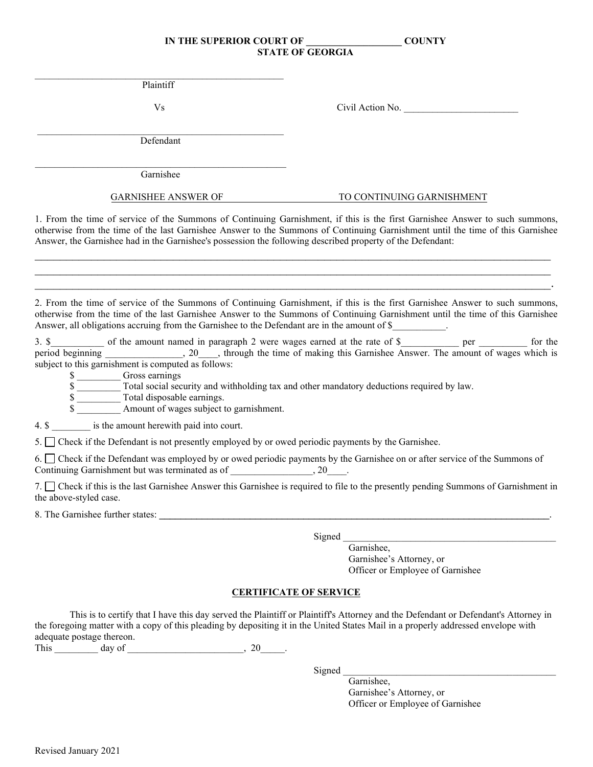$\mathcal{L}_\text{max}$  and  $\mathcal{L}_\text{max}$  and  $\mathcal{L}_\text{max}$  and  $\mathcal{L}_\text{max}$  and  $\mathcal{L}_\text{max}$ Plaintiff

Vs Civil Action No.

\_\_\_\_\_\_\_\_\_\_\_\_\_\_\_\_\_\_\_\_\_\_\_\_\_\_\_\_\_\_\_\_\_\_\_\_\_\_\_\_\_\_\_\_\_\_\_\_\_\_\_ Defendant

 $\mathcal{L}_\text{max}$  and  $\mathcal{L}_\text{max}$  and  $\mathcal{L}_\text{max}$  and  $\mathcal{L}_\text{max}$  and  $\mathcal{L}_\text{max}$ Garnishee

#### GARNISHEE ANSWER OF TO CONTINUING GARNISHMENT

1. From the time of service of the Summons of Continuing Garnishment, if this is the first Garnishee Answer to such summons, otherwise from the time of the last Garnishee Answer to the Summons of Continuing Garnishment until the time of this Garnishee Answer, the Garnishee had in the Garnishee's possession the following described property of the Defendant:

 $\mathcal{L}_\mathcal{L} = \mathcal{L}_\mathcal{L} = \mathcal{L}_\mathcal{L} = \mathcal{L}_\mathcal{L} = \mathcal{L}_\mathcal{L} = \mathcal{L}_\mathcal{L} = \mathcal{L}_\mathcal{L} = \mathcal{L}_\mathcal{L} = \mathcal{L}_\mathcal{L} = \mathcal{L}_\mathcal{L} = \mathcal{L}_\mathcal{L} = \mathcal{L}_\mathcal{L} = \mathcal{L}_\mathcal{L} = \mathcal{L}_\mathcal{L} = \mathcal{L}_\mathcal{L} = \mathcal{L}_\mathcal{L} = \mathcal{L}_\mathcal{L}$  $\mathcal{L}_\mathcal{L} = \mathcal{L}_\mathcal{L} = \mathcal{L}_\mathcal{L} = \mathcal{L}_\mathcal{L} = \mathcal{L}_\mathcal{L} = \mathcal{L}_\mathcal{L} = \mathcal{L}_\mathcal{L} = \mathcal{L}_\mathcal{L} = \mathcal{L}_\mathcal{L} = \mathcal{L}_\mathcal{L} = \mathcal{L}_\mathcal{L} = \mathcal{L}_\mathcal{L} = \mathcal{L}_\mathcal{L} = \mathcal{L}_\mathcal{L} = \mathcal{L}_\mathcal{L} = \mathcal{L}_\mathcal{L} = \mathcal{L}_\mathcal{L}$ \_\_\_\_\_\_\_\_\_\_\_\_\_\_\_\_\_\_\_\_\_\_\_\_\_\_\_\_\_\_\_\_\_\_\_\_\_\_\_\_\_\_\_\_\_\_\_\_\_\_\_\_\_\_\_\_\_\_\_\_\_\_\_\_\_\_\_\_\_\_\_\_\_\_\_\_\_\_\_\_\_\_.

2. From the time of service of the Summons of Continuing Garnishment, if this is the first Garnishee Answer to such summons, otherwise from the time of the last Garnishee Answer to the Summons of Continuing Garnishment until the time of this Garnishee Answer, all obligations accruing from the Garnishee to the Defendant are in the amount of \$

3. \$\_\_\_\_\_\_\_\_\_\_ of the amount named in paragraph 2 were wages earned at the rate of \$\_\_\_\_\_\_\_\_\_\_ per \_\_\_\_\_\_\_\_ for the period beginning \_\_\_\_\_\_\_\_\_\_\_\_\_\_, 20\_\_\_, through the time of making this Garnishee Answer. The amount of wages which is subject to this garnishment is computed as follows:

\$ \_\_\_\_\_\_\_\_\_ Gross earnings

 $\overline{\text{s}}$  Total social security and withholding tax and other mandatory deductions required by law.

\$

Amount of wages subject to garnishment.

4. \$ is the amount herewith paid into court.

5. Check if the Defendant is not presently employed by or owed periodic payments by the Garnishee.

6. Check if the Defendant was employed by or owed periodic payments by the Garnishee on or after service of the Summons of Continuing Garnishment but was terminated as of \_\_\_\_\_\_\_\_\_\_\_\_\_\_\_, 20\_\_\_\_.

7. Check if this is the last Garnishee Answer this Garnishee is required to file to the presently pending Summons of Garnishment in the above-styled case.

8. The Garnishee further states:

Signed

Garnishee, Garnishee's Attorney, or Officer or Employee of Garnishee

## **CERTIFICATE OF SERVICE**

This is to certify that I have this day served the Plaintiff or Plaintiff's Attorney and the Defendant or Defendant's Attorney in the foregoing matter with a copy of this pleading by depositing it in the United States Mail in a properly addressed envelope with adequate postage thereon.

This  $\frac{day \text{ of } (x,y) \text{ of } (x,y) \text{ of } (x,y) \text{ of } (x,y) \text{ of } (x,y) \text{ of } (x,y) \text{ of } (x,y) \text{ of } (x,y)$ 

Signed

Garnishee, Garnishee's Attorney, or Officer or Employee of Garnishee